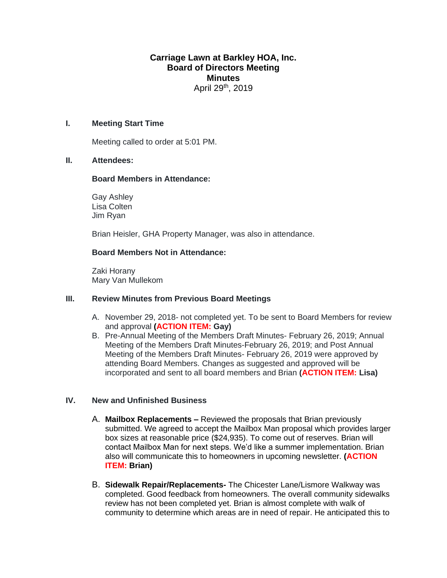# **Carriage Lawn at Barkley HOA, Inc. Board of Directors Meeting Minutes** April 29<sup>th</sup>, 2019

### **I. Meeting Start Time**

Meeting called to order at 5:01 PM.

### **II. Attendees:**

### **Board Members in Attendance:**

Gay Ashley Lisa Colten Jim Ryan

Brian Heisler, GHA Property Manager, was also in attendance.

### **Board Members Not in Attendance:**

Zaki Horany Mary Van Mullekom

### **III. Review Minutes from Previous Board Meetings**

- A. November 29, 2018- not completed yet. To be sent to Board Members for review and approval **(ACTION ITEM: Gay)**
- B. Pre-Annual Meeting of the Members Draft Minutes- February 26, 2019; Annual Meeting of the Members Draft Minutes-February 26, 2019; and Post Annual Meeting of the Members Draft Minutes- February 26, 2019 were approved by attending Board Members. Changes as suggested and approved will be incorporated and sent to all board members and Brian **(ACTION ITEM: Lisa)**

# **IV. New and Unfinished Business**

- A. **Mailbox Replacements –** Reviewed the proposals that Brian previously submitted. We agreed to accept the Mailbox Man proposal which provides larger box sizes at reasonable price (\$24,935). To come out of reserves. Brian will contact Mailbox Man for next steps. We'd like a summer implementation. Brian also will communicate this to homeowners in upcoming newsletter. **(ACTION ITEM: Brian)**
- B. **Sidewalk Repair/Replacements-** The Chicester Lane/Lismore Walkway was completed. Good feedback from homeowners. The overall community sidewalks review has not been completed yet. Brian is almost complete with walk of community to determine which areas are in need of repair. He anticipated this to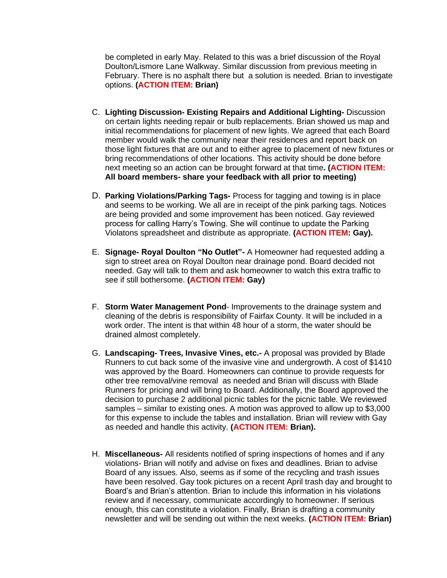be completed in early May. Related to this was a brief discussion of the Royal Doulton/Lismore Lane Walkway. Similar discussion from previous meeting in February. There is no asphalt there but a solution is needed. Brian to investigate options. **(ACTION ITEM: Brian)**

- C. **Lighting Discussion- Existing Repairs and Additional Lighting-** Discussion on certain lights needing repair or bulb replacements. Brian showed us map and initial recommendations for placement of new lights. We agreed that each Board member would walk the community near their residences and report back on those light fixtures that are out and to either agree to placement of new fixtures or bring recommendations of other locations. This activity should be done before next meeting so an action can be brought forward at that time**. (ACTION ITEM: All board members- share your feedback with all prior to meeting)**
- D. **Parking Violations/Parking Tags-** Process for tagging and towing is in place and seems to be working. We all are in receipt of the pink parking tags. Notices are being provided and some improvement has been noticed. Gay reviewed process for calling Harry's Towing. She will continue to update the Parking Violatons spreadsheet and distribute as appropriate. **(ACTION ITEM: Gay).**
- E. **Signage- Royal Doulton "No Outlet"-** A Homeowner had requested adding a sign to street area on Royal Doulton near drainage pond. Board decided not needed. Gay will talk to them and ask homeowner to watch this extra traffic to see if still bothersome. **(ACTION ITEM: Gay)**
- F. **Storm Water Management Pond** Improvements to the drainage system and cleaning of the debris is responsibility of Fairfax County. It will be included in a work order. The intent is that within 48 hour of a storm, the water should be drained almost completely.
- G. **Landscaping- Trees, Invasive Vines, etc.-** A proposal was provided by Blade Runners to cut back some of the invasive vine and undergrowth. A cost of \$1410 was approved by the Board. Homeowners can continue to provide requests for other tree removal/vine removal as needed and Brian will discuss with Blade Runners for pricing and will bring to Board. Additionally, the Board approved the decision to purchase 2 additional picnic tables for the picnic table. We reviewed samples – similar to existing ones. A motion was approved to allow up to \$3,000 for this expense to include the tables and installation. Brian will review with Gay as needed and handle this activity. **(ACTION ITEM: Brian).**
- H. **Miscellaneous-** All residents notified of spring inspections of homes and if any violations- Brian will notify and advise on fixes and deadlines. Brian to advise Board of any issues. Also, seems as if some of the recycling and trash issues have been resolved. Gay took pictures on a recent April trash day and brought to Board's and Brian's attention. Brian to include this information in his violations review and if necessary, communicate accordingly to homeowner. If serious enough, this can constitute a violation. Finally, Brian is drafting a community newsletter and will be sending out within the next weeks. **(ACTION ITEM: Brian)**